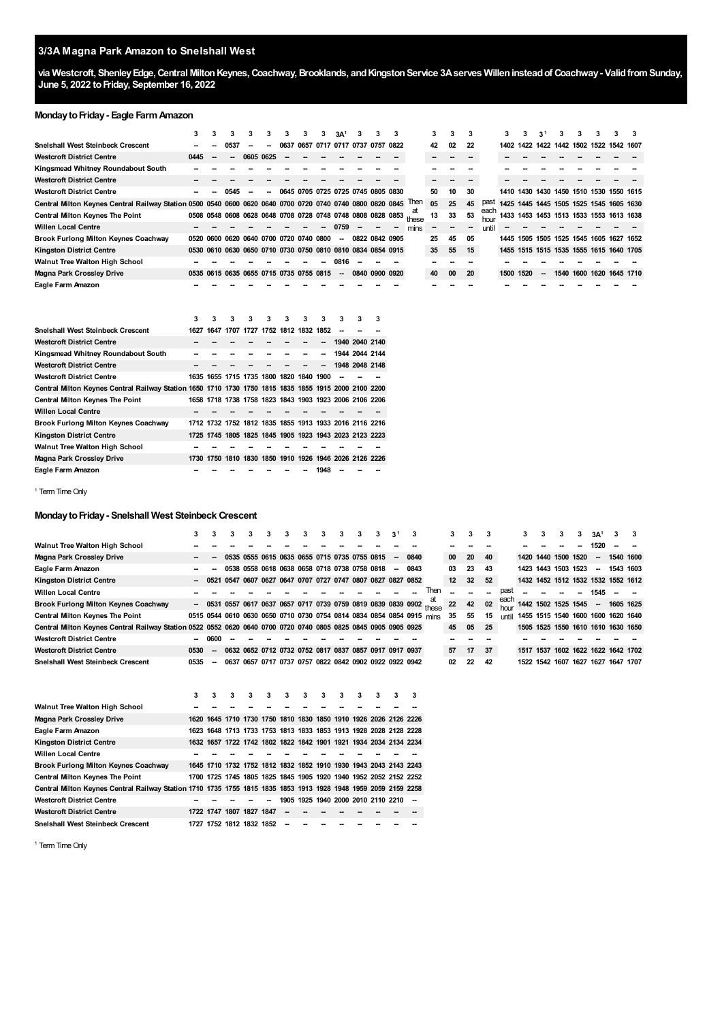# **3/3A Magna Park Amazon to Snelshall West**

via Westcroft, Shenley Edge, Central Milton Keynes, Coachway, Brooklands, and Kingston Service 3A serves Willen instead of Coachway - Valid from Sunday, **June 5, 2022 toFriday, September 16, 2022**

#### **Monday to Friday - Eagle Farm Amazon**

|                                                                                                                | 3    | 3    | 3    | 3              | 3    |                                         | 3    | 3A <sup>1</sup>                                        |                |                                                             | 3    |             | 3  | 3  | 3  |              | 3         | 3 | 3 <sup>1</sup> | з |                                         | 3 | 3 |
|----------------------------------------------------------------------------------------------------------------|------|------|------|----------------|------|-----------------------------------------|------|--------------------------------------------------------|----------------|-------------------------------------------------------------|------|-------------|----|----|----|--------------|-----------|---|----------------|---|-----------------------------------------|---|---|
| <b>Snelshall West Steinbeck Crescent</b>                                                                       |      |      | 0537 |                | 0637 |                                         |      | 0657 0717 0717 0737 0757                               |                |                                                             | 0822 |             | 42 | 02 | 22 |              |           |   |                |   | 1402 1422 1422 1442 1502 1522 1542 1607 |   |   |
| <b>Westcroft District Centre</b>                                                                               | 0445 |      |      | 0605 0625      |      |                                         |      |                                                        |                |                                                             |      |             | -- |    |    |              |           |   |                |   |                                         |   |   |
| Kingsmead Whitney Roundabout South                                                                             |      |      |      |                |      |                                         |      |                                                        |                |                                                             |      |             |    |    |    |              |           |   |                |   |                                         |   |   |
| <b>Westcroft District Centre</b>                                                                               |      |      |      |                |      |                                         |      |                                                        |                |                                                             |      |             |    |    |    |              |           |   |                |   |                                         |   |   |
| <b>Westcroft District Centre</b>                                                                               |      |      | 0545 |                |      |                                         |      |                                                        |                | 0645 0705 0725 0725 0745 0805 0830                          |      |             | 50 | 10 | 30 |              |           |   |                |   | 1410 1430 1430 1450 1510 1530 1550 1615 |   |   |
| Central Milton Keynes Central Railway Station 0500 0540 0600 0620 0640 0700 0720 0740 0740 0800 0820 0845 Then |      |      |      |                |      |                                         |      |                                                        |                |                                                             |      |             | 05 | 25 | 45 | past         |           |   |                |   | 1425 1445 1445 1505 1525 1545 1605 1630 |   |   |
| <b>Central Milton Keynes The Point</b>                                                                         |      |      |      |                |      |                                         |      |                                                        |                | 0508 0548 0608 0628 0648 0708 0728 0748 0748 0808 0828 0853 |      | aτ<br>these | 13 | 33 | 53 | each<br>hour |           |   |                |   | 1433 1453 1453 1513 1533 1553 1613 1638 |   |   |
| <b>Willen Local Centre</b>                                                                                     |      |      |      |                |      |                                         |      | 0759                                                   |                |                                                             |      | mins        |    |    | -- | until        |           |   |                |   |                                         |   |   |
| <b>Brook Furlong Milton Keynes Coachway</b>                                                                    | 0520 | 0600 |      |                |      | 0620 0640 0700 0720 0740 0800           |      | --                                                     |                | 0822 0842 0905                                              |      |             | 25 | 45 | 05 |              |           |   |                |   | 1445 1505 1505 1525 1545 1605 1627 1652 |   |   |
| <b>Kingston District Centre</b>                                                                                |      |      |      |                |      |                                         |      |                                                        |                | 0530 0610 0630 0650 0710 0730 0750 0810 0810 0834 0854 0915 |      |             | 35 | 55 | 15 |              |           |   |                |   | 1455 1515 1515 1535 1555 1615 1640 1705 |   |   |
| Walnut Tree Walton High School                                                                                 |      |      |      |                |      |                                         |      | 0816                                                   |                |                                                             |      |             | -- |    | -- |              |           |   |                |   |                                         |   |   |
| <b>Magna Park Crossley Drive</b>                                                                               |      |      |      |                |      | 0535 0615 0635 0655 0715 0735 0755 0815 |      | $\overline{\phantom{a}}$                               |                | 0840 0900 0920                                              |      |             | 40 | 00 | 20 |              | 1500 1520 |   |                |   | 1540 1600 1620 1645 1710                |   |   |
| Eagle Farm Amazon                                                                                              |      |      |      |                |      |                                         |      |                                                        |                |                                                             |      |             |    |    |    |              |           |   |                |   |                                         |   |   |
|                                                                                                                |      |      |      |                |      |                                         |      |                                                        |                |                                                             |      |             |    |    |    |              |           |   |                |   |                                         |   |   |
|                                                                                                                | 3    | 3    | 3    | 3              | 3    | 3                                       |      |                                                        |                | 3                                                           |      |             |    |    |    |              |           |   |                |   |                                         |   |   |
| Snelshall West Steinbeck Crescent                                                                              | 1627 | 1647 | 1707 |                |      | 1727 1752 1812 1832                     | 1852 |                                                        |                |                                                             |      |             |    |    |    |              |           |   |                |   |                                         |   |   |
| <b>Westcroft District Centre</b>                                                                               |      |      |      |                |      |                                         |      | 1940 2040 2140                                         |                |                                                             |      |             |    |    |    |              |           |   |                |   |                                         |   |   |
| Kingsmead Whitney Roundabout South                                                                             |      |      |      |                |      |                                         |      |                                                        | 1944 2044 2144 |                                                             |      |             |    |    |    |              |           |   |                |   |                                         |   |   |
| <b>Westcroft District Centre</b>                                                                               |      |      |      |                |      |                                         |      |                                                        | 1948 2048 2148 |                                                             |      |             |    |    |    |              |           |   |                |   |                                         |   |   |
|                                                                                                                |      |      |      |                |      |                                         |      |                                                        |                |                                                             |      |             |    |    |    |              |           |   |                |   |                                         |   |   |
| <b>Westcroft District Centre</b>                                                                               | 1635 | 1655 |      | 1715 1735 1800 | 1820 | 1840                                    | 1900 |                                                        |                |                                                             |      |             |    |    |    |              |           |   |                |   |                                         |   |   |
| Central Milton Keynes Central Railway Station 1650 1710 1730 1750 1815 1835 1855 1915 2000 2100 2200           |      |      |      |                |      |                                         |      |                                                        |                |                                                             |      |             |    |    |    |              |           |   |                |   |                                         |   |   |
| <b>Central Milton Keynes The Point</b>                                                                         |      |      |      |                |      |                                         |      | 1658 1718 1738 1758 1823 1843 1903 1923 2006 2106 2206 |                |                                                             |      |             |    |    |    |              |           |   |                |   |                                         |   |   |
| <b>Willen Local Centre</b>                                                                                     |      |      |      |                |      |                                         |      |                                                        |                |                                                             |      |             |    |    |    |              |           |   |                |   |                                         |   |   |
| <b>Brook Furlong Milton Keynes Coachway</b>                                                                    |      |      |      |                |      |                                         |      | 1712 1732 1752 1812 1835 1855 1913 1933 2016 2116 2216 |                |                                                             |      |             |    |    |    |              |           |   |                |   |                                         |   |   |
| <b>Kingston District Centre</b>                                                                                |      |      |      |                |      |                                         |      | 1725 1745 1805 1825 1845 1905 1923 1943 2023 2123 2223 |                |                                                             |      |             |    |    |    |              |           |   |                |   |                                         |   |   |
| <b>Walnut Tree Walton High School</b>                                                                          |      |      |      |                |      |                                         |      |                                                        |                |                                                             |      |             |    |    |    |              |           |   |                |   |                                         |   |   |

<span id="page-0-0"></span><sup>1</sup> Term Time Only

**Eagle Farm Amazon**

# **MondaytoFriday- Snelshall West Steinbeck Crescent**

**Magna Park Crossley Drive 1730 1750 1810 1830 1850 1910 1926 1946 2026 2126**

**-- -- -- -- -- -- -- 1948 -- --**

|                                                                                                                | 3                        | 3                        | 3 | 3      | 3                                                      | 3 | 3             | 3      | 3      | 3 | 3      | 3 <sup>1</sup>           | 3                                                                     |      | 3  | 3  | 3  |              | 3 | 3 | 3                   | з. | 3A <sup>1</sup>          |                                    | 3 |
|----------------------------------------------------------------------------------------------------------------|--------------------------|--------------------------|---|--------|--------------------------------------------------------|---|---------------|--------|--------|---|--------|--------------------------|-----------------------------------------------------------------------|------|----|----|----|--------------|---|---|---------------------|----|--------------------------|------------------------------------|---|
| Walnut Tree Walton High School                                                                                 |                          |                          |   |        |                                                        |   |               |        |        |   |        |                          |                                                                       |      |    |    |    |              |   |   |                     |    | 1520                     |                                    |   |
| <b>Magna Park Crossley Drive</b>                                                                               |                          |                          |   |        | 0535 0555 0615 0635 0655 0715 0735 0755 0815           |   |               |        |        |   |        | $\overline{\phantom{a}}$ | 0840                                                                  |      | 00 | 20 | 40 |              |   |   | 1420 1440 1500 1520 |    | -                        | 1540 1600                          |   |
| Eagle Farm Amazon                                                                                              |                          |                          |   |        | 0538 0558 0618 0638 0658 0718 0738 0758 0818           |   |               |        |        |   |        | -                        | 0843                                                                  |      | 03 | 23 | 43 |              |   |   | 1423 1443 1503 1523 |    | $\overline{\phantom{a}}$ | 1543 1603                          |   |
| <b>Kingston District Centre</b>                                                                                |                          |                          |   |        |                                                        |   |               |        |        |   |        |                          | 0547 0607 0627 0647 0707 0727 0747 0807 0827 0827 0852                |      | 12 | 32 | 52 |              |   |   |                     |    |                          | 1432 1452 1512 1532 1532 1552 1612 |   |
| <b>Willen Local Centre</b>                                                                                     |                          |                          |   |        |                                                        |   |               |        |        |   |        |                          |                                                                       | Then |    |    |    | past         |   |   |                     |    | 1545                     |                                    |   |
| <b>Brook Furlong Milton Keynes Coachway</b>                                                                    |                          |                          |   |        |                                                        |   |               |        |        |   |        |                          | - 0531 0557 0617 0637 0657 0717 0739 0759 0819 0839 0839 0902 these   |      | 22 | 42 | 02 | each<br>hour |   |   | 1442 1502 1525 1545 |    | $\overline{\phantom{a}}$ | 1605 1625                          |   |
| <b>Central Milton Keynes The Point</b>                                                                         |                          |                          |   |        |                                                        |   |               |        |        |   |        |                          | 0515 0544 0610 0630 0650 0710 0730 0754 0814 0834 0854 0854 0915 mins |      | 35 | 55 | 15 | ı ıntil      |   |   |                     |    |                          | 1455 1515 1540 1600 1600 1620 1640 |   |
| Central Milton Keynes Central Railway Station 0522 0552 0620 0640 0700 0720 0740 0805 0825 0845 0905 0905 0925 |                          |                          |   |        |                                                        |   |               |        |        |   |        |                          |                                                                       |      | 45 | 05 | 25 |              |   |   |                     |    |                          | 1505 1525 1550 1610 1610 1630 1650 |   |
| <b>Westcroft District Centre</b>                                                                               | $\overline{\phantom{a}}$ | 0600                     |   |        |                                                        |   |               |        |        |   |        |                          |                                                                       |      |    |    |    |              |   |   |                     |    |                          |                                    |   |
| <b>Westcroft District Centre</b>                                                                               | 0530                     | -                        |   |        | 0632 0652 0712 0732 0752 0817 0837 0857 0917 0917 0937 |   |               |        |        |   |        |                          |                                                                       |      | 57 | 17 | 37 |              |   |   |                     |    |                          | 1517 1537 1602 1622 1622 1642 1702 |   |
| Snelshall West Steinbeck Crescent                                                                              | 0535                     | $\overline{\phantom{a}}$ |   |        | 0637 0657 0717 0737 0757 0822 0842 0902 0922 0922 0942 |   |               |        |        |   |        |                          |                                                                       |      | 02 | 22 | 42 |              |   |   |                     |    |                          | 1522 1542 1607 1627 1627 1647 1707 |   |
|                                                                                                                |                          |                          |   |        |                                                        |   |               |        |        |   |        |                          |                                                                       |      |    |    |    |              |   |   |                     |    |                          |                                    |   |
|                                                                                                                |                          |                          |   |        |                                                        |   |               |        |        |   |        |                          |                                                                       |      |    |    |    |              |   |   |                     |    |                          |                                    |   |
|                                                                                                                | $\sim$                   |                          |   | $\sim$ | $\sim$                                                 |   | $\sim$ $\sim$ | $\sim$ | $\sim$ |   | $\sim$ |                          |                                                                       |      |    |    |    |              |   |   |                     |    |                          |                                    |   |

**2226 --**

|                                                                                                                | 3 | 3 | 3                        | 3 | 3 | 3  | 3 | 3 | 3 | 3 | 3 | 3                                                                | 3 |
|----------------------------------------------------------------------------------------------------------------|---|---|--------------------------|---|---|----|---|---|---|---|---|------------------------------------------------------------------|---|
| <b>Walnut Tree Walton High School</b>                                                                          |   |   |                          |   |   |    |   |   |   |   |   |                                                                  |   |
| Magna Park Crossley Drive                                                                                      |   |   |                          |   |   |    |   |   |   |   |   | 1620 1645 1710 1730 1750 1810 1830 1850 1910 1926 2026 2126 2226 |   |
| Eagle Farm Amazon                                                                                              |   |   |                          |   |   |    |   |   |   |   |   | 1623 1648 1713 1733 1753 1813 1833 1853 1913 1928 2028 2128 2228 |   |
| <b>Kingston District Centre</b>                                                                                |   |   |                          |   |   |    |   |   |   |   |   | 1632 1657 1722 1742 1802 1822 1842 1901 1921 1934 2034 2134 2234 |   |
| <b>Willen Local Centre</b>                                                                                     |   |   |                          |   |   |    |   |   |   |   |   |                                                                  |   |
| <b>Brook Furlong Milton Keynes Coachway</b>                                                                    |   |   |                          |   |   |    |   |   |   |   |   | 1645 1710 1732 1752 1812 1832 1852 1910 1930 1943 2043 2143 2243 |   |
| <b>Central Milton Keynes The Point</b>                                                                         |   |   |                          |   |   |    |   |   |   |   |   | 1700 1725 1745 1805 1825 1845 1905 1920 1940 1952 2052 2152 2252 |   |
| Central Milton Keynes Central Railway Station 1710 1735 1755 1815 1835 1853 1913 1928 1948 1959 2059 2159 2258 |   |   |                          |   |   |    |   |   |   |   |   |                                                                  |   |
| <b>Westcroft District Centre</b>                                                                               |   |   |                          |   |   |    |   |   |   |   |   | 1905 1925 1940 2000 2010 2110 2210                               |   |
| <b>Westcroft District Centre</b>                                                                               |   |   | 1722 1747 1807 1827 1847 |   |   | -- |   |   |   |   |   |                                                                  |   |
| <b>Sneishall West Steinbeck Crescent</b>                                                                       |   |   | 1727 1752 1812 1832 1852 |   |   |    |   |   |   |   |   |                                                                  |   |

<sup>1</sup> Term Time Only